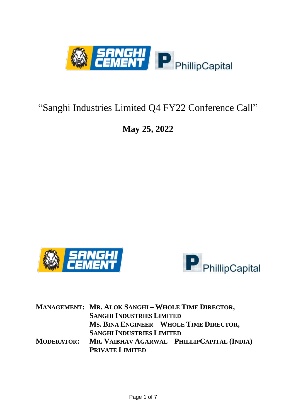

# "Sanghi Industries Limited Q4 FY22 Conference Call"

## **May 25, 2022**





|                   | <b>MANAGEMENT: MR. ALOK SANGHI-WHOLE TIME DIRECTOR,</b> |
|-------------------|---------------------------------------------------------|
|                   | <b>SANGHI INDUSTRIES LIMITED</b>                        |
|                   | MS. BINA ENGINEER - WHOLE TIME DIRECTOR,                |
|                   | <b>SANGHI INDUSTRIES LIMITED</b>                        |
| <b>MODERATOR:</b> | MR. VAIBHAV AGARWAL – PHILLIPCAPITAL (INDIA)            |
|                   | <b>PRIVATE LIMITED</b>                                  |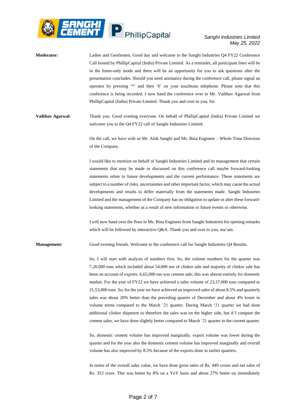

- **Moderator:** Ladies and Gentlemen, Good day and welcome to the Sanghi Industries Q4 FY22 Conference Call hosted by PhillipCapital (India) Private Limited. As a reminder, all participant lines will be in the listen-only mode and there will be an opportunity for you to ask questions after the presentation concludes. Should you need assistance during the conference call, please signal an operator by pressing '\*' and then '0' on your touchtone telephone. Please note that this conference is being recorded. I now hand the conference over to Mr. Vaibhav Agarwal from PhillipCapital (India) Private Limited. Thank you and over to you, Sir.
- **Vaibhav Agarwal**: Thank you. Good evening everyone. On behalf of PhillipCapital (India) Private Limited we welcome you to the Q4 FY22 call of Sanghi Industries Limited.

On the call, we have with us Mr. Alok Sanghi and Ms. Bina Engineer – Whole Time Directors of the Company.

I would like to mention on behalf of Sanghi Industries Limited and its management that certain statements that may be made or discussed on this conference call maybe forward-looking statements relate to future developments and the current performance. These statements are subject to a number of risks, uncertainties and other important factor, which may cause the actual developments and results to differ materially from the statements made. Sanghi Industries Limited and the management of the Company has no obligation to update or alter these forwardlooking statements, whether as a result of new information or future events or otherwise.

I will now hand over the floor to Ms. Bina Engineer from Sanghi Industries for opening remarks which will be followed by interactive Q&A. Thank you and over to you, ma'am.

**Management:** Good evening friends. Welcome to the conference call for Sanghi Industries Q4 Results.

So, I will start with analysis of numbers first. So, the volume numbers for the quarter was 7,20,000 tons which included about 54,000 ton of clinker sale and majority of clinker sale has been on account of exports. 6,65,000 ton was cement sale; this was almost entirely for domestic market. For the year of FY22 we have achieved a sales volume of 23,37,000 tons compared to 21,53,000 tons. So, for the year we have achieved an improved sales of about 8.5% and quarterly sales was about 20% better than the preceding quarter of December and about 4% lower in volume terms compared to the March '21 quarter. During March '21 quarter we had done additional clinker shipment so therefore the sales was on the higher side, but if I compare the cement sales, we have done slightly better compared to March '21 quarter in the current quarter.

So, domestic cement volume has improved marginally, export volume was lower during the quarter and for the year also the domestic cement volume has improved marginally and overall volume has also improved by 8.5% because of the exports done in earlier quarters.

In terms of the overall sales value, we have done gross sales of Rs. 449 crores and net sales of Rs. 353 crore. This was better by 8% on a YoY basis and about 27% better on immediately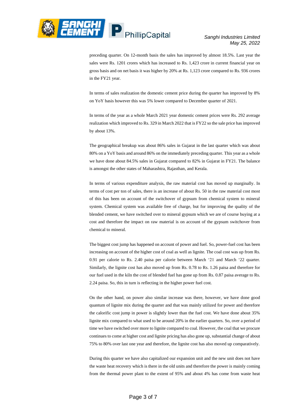

preceding quarter. On 12-month basis the sales has improved by almost 18.5%. Last year the sales were Rs. 1201 crores which has increased to Rs. 1,423 crore in current financial year on gross basis and on net basis it was higher by 20% at Rs. 1,123 crore compared to Rs. 936 crores in the FY21 year.

In terms of sales realization the domestic cement price during the quarter has improved by 8% on YoY basis however this was 5% lower compared to December quarter of 2021.

In terms of the year as a whole March 2021 year domestic cement prices were Rs. 292 average realization which improved to Rs. 329 in March 2022 that is FY22 so the sale price has improved by about 13%.

The geographical breakup was about 86% sales in Gujarat in the last quarter which was about 80% on a YoY basis and around 86% on the immediately preceding quarter. This year as a whole we have done about 84.5% sales in Gujarat compared to 82% in Gujarat in FY21. The balance is amongst the other states of Maharashtra, Rajasthan, and Kerala.

In terms of various expenditure analysis, the raw material cost has moved up marginally. In terms of cost per ton of sales, there is an increase of about Rs. 50 in the raw material cost most of this has been on account of the switchover of gypsum from chemical system to mineral system. Chemical system was available free of charge, but for improving the quality of the blended cement, we have switched over to mineral gypsum which we are of course buying at a cost and therefore the impact on raw material is on account of the gypsum switchover from chemical to mineral.

The biggest cost jump has happened on account of power and fuel. So, power-fuel cost has been increasing on account of the higher cost of coal as well as lignite. The coal cost was up from Rs. 0.91 per calorie to Rs. 2.40 paisa per calorie between March '21 and March '22 quarter. Similarly, the lignite cost has also moved up from Rs. 0.78 to Rs. 1.26 paisa and therefore for our fuel used in the kiln the cost of blended fuel has gone up from Rs. 0.87 paisa average to Rs. 2.24 paisa. So, this in turn is reflecting in the higher power fuel cost.

On the other hand, on power also similar increase was there, however, we have done good quantum of lignite mix during the quarter and that was mainly utilized for power and therefore the calorific cost jump in power is slightly lower than the fuel cost. We have done about 35% lignite mix compared to what used to be around 20% in the earlier quarters. So, over a period of time we have switched over more to lignite compared to coal. However, the coal that we procure continues to come at higher cost and lignite pricing has also gone up, substantial change of about 75% to 80% over last one year and therefore, the lignite cost has also moved up comparatively.

During this quarter we have also capitalized our expansion unit and the new unit does not have the waste heat recovery which is there in the old units and therefore the power is mainly coming from the thermal power plant to the extent of 95% and about 4% has come from waste heat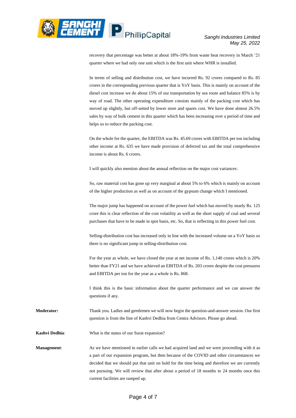

recovery that percentage was better at about 18%-19% from waste heat recovery in March '21 quarter where we had only one unit which is the first unit where WHR is installed.

In terms of selling and distribution cost, we have incurred Rs. 92 crores compared to Rs. 85 crores in the corresponding previous quarter that is YoY basis. This is mainly on account of the diesel cost increase we do about 15% of our transportation by sea route and balance 85% is by way of road. The other operating expenditure consists mainly of the packing cost which has moved up slightly, but off-setted by lower store and spares cost. We have done almost 26.5% sales by way of bulk cement in this quarter which has been increasing over a period of time and helps us to reduce the packing cost.

On the whole for the quarter, the EBITDA was Rs. 45.69 crores with EBITDA per ton including other income at Rs. 635 we have made provision of deferred tax and the total comprehensive income is about Rs. 6 crores.

I will quickly also mention about the annual reflection on the major cost variances:

So, raw material cost has gone up very marginal at about 5% to 6% which is mainly on account of the higher production as well as on account of the gypsum change which I mentioned.

The major jump has happened on account of the power fuel which has moved by nearly Rs. 125 crore this is clear reflection of the cost volatility as well as the short supply of coal and several purchases that have to be made in spot basis, etc. So, that is reflecting in this power fuel cost.

Selling-distribution cost has increased only in line with the increased volume on a YoY basis so there is no significant jump in selling-distribution cost.

For the year as whole, we have closed the year at net income of Rs. 1,140 crores which is 20% better than FY21 and we have achieved an EBITDA of Rs. 203 crores despite the cost pressures and EBITDA per ton for the year as a whole is Rs. 868.

I think this is the basic information about the quarter performance and we can answer the questions if any.

**Moderator:** Thank you. Ladies and gentlemen we will now begin the question-and-answer session. Our first question is from the line of Kashvi Dedhia from Centra Advisors. Please go ahead.

**Kashvi Dedhia**: What is the status of our Surat expansion?

**Management:** As we have mentioned in earlier calls we had acquired land and we were proceeding with it as a part of our expansion program, but then because of the COVID and other circumstances we decided that we should put that unit on hold for the time being and therefore we are currently not pursuing. We will review that after about a period of 18 months to 24 months once this current facilities are ramped up.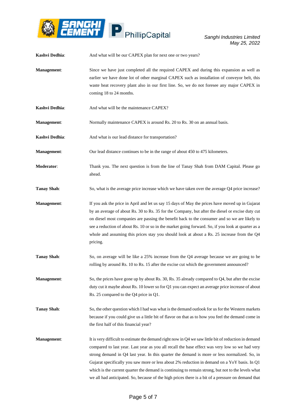

| Kashvi Dedhia:     | And what will be our CAPEX plan for next one or two years?                                                                                                                                                                                                                                                                                                                                                                                                                                                                                                                                                         |
|--------------------|--------------------------------------------------------------------------------------------------------------------------------------------------------------------------------------------------------------------------------------------------------------------------------------------------------------------------------------------------------------------------------------------------------------------------------------------------------------------------------------------------------------------------------------------------------------------------------------------------------------------|
| <b>Management:</b> | Since we have just completed all the required CAPEX and during this expansion as well as<br>earlier we have done lot of other marginal CAPEX such as installation of conveyor belt, this<br>waste heat recovery plant also in our first line. So, we do not foresee any major CAPEX in<br>coming 18 to 24 months.                                                                                                                                                                                                                                                                                                  |
| Kashvi Dedhia:     | And what will be the maintenance CAPEX?                                                                                                                                                                                                                                                                                                                                                                                                                                                                                                                                                                            |
| <b>Management:</b> | Normally maintenance CAPEX is around Rs. 20 to Rs. 30 on an annual basis.                                                                                                                                                                                                                                                                                                                                                                                                                                                                                                                                          |
| Kashvi Dedhia:     | And what is our lead distance for transportation?                                                                                                                                                                                                                                                                                                                                                                                                                                                                                                                                                                  |
| <b>Management:</b> | Our lead distance continues to be in the range of about 450 to 475 kilometers.                                                                                                                                                                                                                                                                                                                                                                                                                                                                                                                                     |
| Moderator:         | Thank you. The next question is from the line of Tanay Shah from DAM Capital. Please go<br>ahead.                                                                                                                                                                                                                                                                                                                                                                                                                                                                                                                  |
| <b>Tanay Shah:</b> | So, what is the average price increase which we have taken over the average Q4 price increase?                                                                                                                                                                                                                                                                                                                                                                                                                                                                                                                     |
| Management:        | If you ask the price in April and let us say 15 days of May the prices have moved up in Gujarat<br>by an average of about Rs. 30 to Rs. 35 for the Company, but after the diesel or excise duty cut<br>on diesel most companies are passing the benefit back to the consumer and so we are likely to<br>see a reduction of about Rs. 10 or so in the market going forward. So, if you look at quarter as a<br>whole and assuming this prices stay you should look at about a Rs. 25 increase from the $Q4$<br>pricing.                                                                                             |
| <b>Tanay Shah:</b> | So, on average will be like a 25% increase from the Q4 average because we are going to be<br>rolling by around Rs. 10 to Rs. 15 after the excise cut which the government announced?                                                                                                                                                                                                                                                                                                                                                                                                                               |
| Management:        | So, the prices have gone up by about Rs. 30, Rs. 35 already compared to Q4, but after the excise<br>duty cut it maybe about Rs. 10 lower so for Q1 you can expect an average price increase of about<br>Rs. 25 compared to the Q4 price in Q1.                                                                                                                                                                                                                                                                                                                                                                     |
| <b>Tanay Shah:</b> | So, the other question which I had was what is the demand outlook for us for the Western markets<br>because if you could give us a little bit of flavor on that as to how you feel the demand come in<br>the first half of this financial year?                                                                                                                                                                                                                                                                                                                                                                    |
| <b>Management:</b> | It is very difficult to estimate the demand right now in Q4 we saw little bit of reduction in demand<br>compared to last year. Last year as you all recall the base effect was very low so we had very<br>strong demand in Q4 last year. In this quarter the demand is more or less normalized. So, in<br>Gujarat specifically you saw more or less about 2% reduction in demand on a YoY basis. In Q1<br>which is the current quarter the demand is continuing to remain strong, but not to the levels what<br>we all had anticipated. So, because of the high prices there is a bit of a pressure on demand that |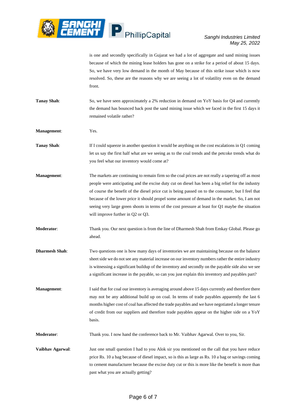

is one and secondly specifically in Gujarat we had a lot of aggregate and sand mining issues because of which the mining lease holders has gone on a strike for a period of about 15 days. So, we have very low demand in the month of May because of this strike issue which is now resolved. So, these are the reasons why we are seeing a lot of volatility even on the demand front.

- **Tanay Shah**: So, we have seen approximately a 2% reduction in demand on YoY basis for Q4 and currently the demand has bounced back post the sand mining issue which we faced in the first 15 days it remained volatile rather?
- **Management**: Yes.
- **Tanay Shah:** If I could squeeze in another question it would be anything on the cost escalations in Q1 coming let us say the first half what are we seeing as to the coal trends and the petcoke trends what do you feel what our inventory would come at?
- **Management:** The markets are continuing to remain firm so the coal prices are not really a tapering off as most people were anticipating and the excise duty cut on diesel has been a big relief for the industry of course the benefit of the diesel price cut is being passed on to the consumer, but I feel that because of the lower price it should propel some amount of demand in the market. So, I am not seeing very large green shoots in terms of the cost pressure at least for Q1 maybe the situation will improve further in Q2 or Q3.
- **Moderator**: Thank you. Our next question is from the line of Dharmesh Shah from Emkay Global. Please go ahead.
- **Dharmesh Shah**: Two questions one is how many days of inventories we are maintaining because on the balance sheet side we do not see any material increase on our inventory numbers rather the entire industry is witnessing a significant buildup of the inventory and secondly on the payable side also we see a significant increase in the payable, so can you just explain this inventory and payables part?
- **Management:** I said that for coal our inventory is averaging around above 15 days currently and therefore there may not be any additional build up on coal. In terms of trade payables apparently the last 6 months higher cost of coal has affected the trade payables and we have negotiated a longer tenure of credit from our suppliers and therefore trade payables appear on the higher side on a YoY basis.

**Moderator**: Thank you. I now hand the conference back to Mr. Vaibhav Agarwal. Over to you, Sir.

**Vaibhav Agarwal:** Just one small question I had to you Alok sir you mentioned on the call that you have reduce price Rs. 10 a bag because of diesel impact, so is this as large as Rs. 10 a bag or savings coming to cement manufacturer because the excise duty cut or this is more like the benefit is more than past what you are actually getting?